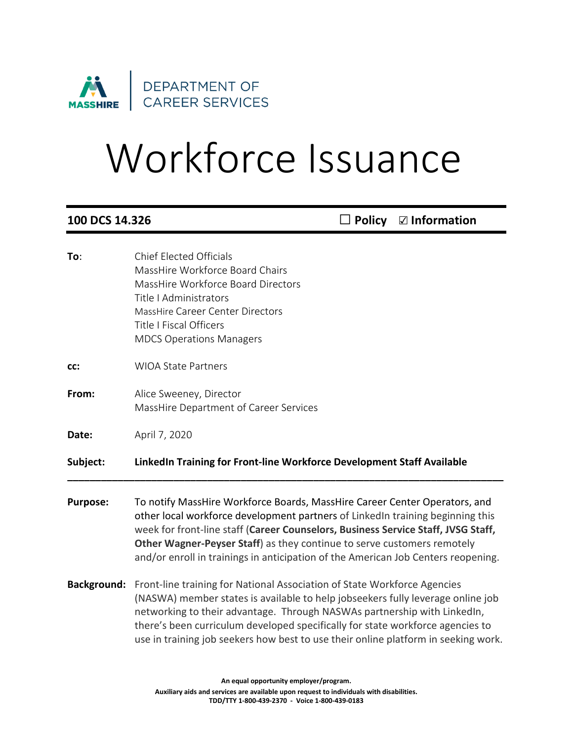

# Workforce Issuance

| 100 DCS 14.326     |                                                                                                                                                                                                                                                                                                                                                                                                                   | <b>Policy</b> | $\boxdot$ Information |
|--------------------|-------------------------------------------------------------------------------------------------------------------------------------------------------------------------------------------------------------------------------------------------------------------------------------------------------------------------------------------------------------------------------------------------------------------|---------------|-----------------------|
| To:                | <b>Chief Elected Officials</b><br>MassHire Workforce Board Chairs<br>MassHire Workforce Board Directors<br>Title   Administrators<br><b>MassHire Career Center Directors</b><br><b>Title I Fiscal Officers</b><br><b>MDCS Operations Managers</b>                                                                                                                                                                 |               |                       |
| CC:                | <b>WIOA State Partners</b>                                                                                                                                                                                                                                                                                                                                                                                        |               |                       |
| From:              | Alice Sweeney, Director<br>MassHire Department of Career Services                                                                                                                                                                                                                                                                                                                                                 |               |                       |
| Date:              | April 7, 2020                                                                                                                                                                                                                                                                                                                                                                                                     |               |                       |
| Subject:           | LinkedIn Training for Front-line Workforce Development Staff Available                                                                                                                                                                                                                                                                                                                                            |               |                       |
| <b>Purpose:</b>    | To notify MassHire Workforce Boards, MassHire Career Center Operators, and<br>other local workforce development partners of LinkedIn training beginning this<br>week for front-line staff (Career Counselors, Business Service Staff, JVSG Staff,<br>Other Wagner-Peyser Staff) as they continue to serve customers remotely<br>and/or enroll in trainings in anticipation of the American Job Centers reopening. |               |                       |
| <b>Background:</b> | Front-line training for National Association of State Workforce Agencies<br>(NASWA) member states is available to help jobseekers fully leverage online job<br>networking to their advantage. Through NASWAs partnership with LinkedIn,<br>there's been curriculum developed specifically for state workforce agencies to<br>use in training job seekers how best to use their online platform in seeking work.   |               |                       |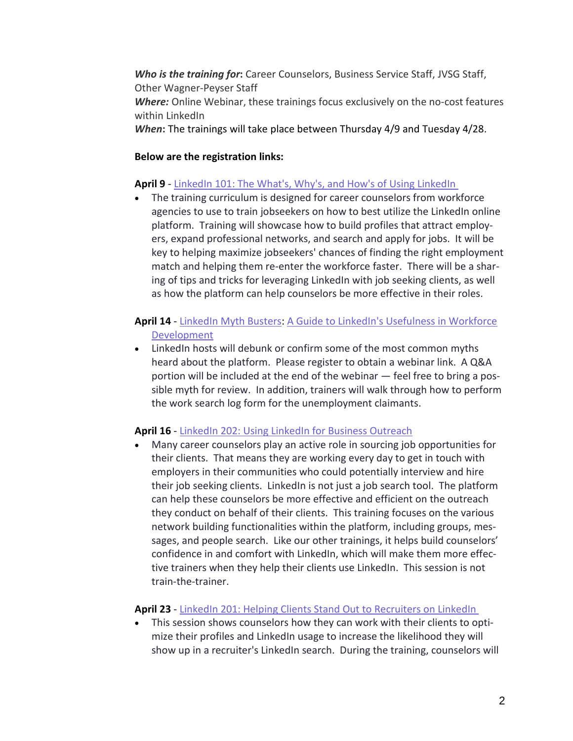*Who is the training for***:** Career Counselors, Business Service Staff, JVSG Staff, Other Wagner-Peyser Staff *Where:* Online Webinar, these trainings focus exclusively on the no-cost features within LinkedIn

*When***:** The trainings will take place between Thursday 4/9 and Tuesday 4/28.

### **Below are the registration links:**

### **April 9** - [LinkedIn](https://urldefense.proofpoint.com/v2/url?u=https-3A__nam06.safelinks.protection.outlook.com_-3Furl-3Dhttps-253A-252F-252Flinkedin.zoom.us-252Fwebinar-252Fregister-252FWN-5FnPQ6v1AET5qaM-2DQRFNj9kA-26data-3D02-257C01-257Cebycer-2540linkedin.com-257C216dc889990349e1037908d7b3d42145-257C72f988bf86f141af91ab2d7cd011db47-257C1-257C0-257C637175595979888446-26sdata-3D0TLmKyYqGU9A666-252B3esVpDTVdPekCx-252BMEDcPSOZLcw4-253D-26reserved-3D0&d=DwMGaQ&c=lDF7oMaPKXpkYvev9V-fVahWL0QWnGCCAfCDz1Bns_w&r=1ZXU6saif1Q41AbsaaZTL7yhhExSCqkwQgWnftXU63p3MSwb2JN5DYEJzMXSsVCf&m=i3nuvlqTyxUeBit--7VLvJmKRCawMNR8W4cD40f864A&s=0s6NMd4Wzhzp2mJ5pS11czZU-y2A4vVsUqtQnNAPp2Q&e=) 101: The What's, Why's, and How's of Using LinkedIn

The training curriculum is designed for career counselors from workforce agencies to use to train jobseekers on how to best utilize the LinkedIn online platform. Training will showcase how to build profiles that attract employers, expand professional networks, and search and apply for jobs. It will be key to helping maximize jobseekers' chances of finding the right employment match and helping them re-enter the workforce faster. There will be a sharing of tips and tricks for leveraging LinkedIn with job seeking clients, as well as how the platform can help counselors be more effective in their roles.

## **April 14** - [LinkedIn](https://urldefense.proofpoint.com/v2/url?u=https-3A__nam06.safelinks.protection.outlook.com_-3Furl-3Dhttps-253A-252F-252Flinkedin.zoom.us-252Fwebinar-252Fregister-252FWN-5FEbNcpRUSRyaySio1ztIEcA-26data-3D02-257C01-257Cebycer-2540linkedin.com-257C216dc889990349e1037908d7b3d42145-257C72f988bf86f141af91ab2d7cd011db47-257C1-257C0-257C637175595979908447-26sdata-3DEc6Qp8ZoykqWUr-252BSk-252F63f45GrGtHwJq1dGLuPcoJ4fA-253D-26reserved-3D0&d=DwMGaQ&c=lDF7oMaPKXpkYvev9V-fVahWL0QWnGCCAfCDz1Bns_w&r=1ZXU6saif1Q41AbsaaZTL7yhhExSCqkwQgWnftXU63p3MSwb2JN5DYEJzMXSsVCf&m=i3nuvlqTyxUeBit--7VLvJmKRCawMNR8W4cD40f864A&s=4TYEMfh2j8ce3WCFjTmEOqKZX7uxeXOQpkzozr0yk6E&e=) Myth Busters: A Guide to LinkedIn's [Usefulness](https://urldefense.proofpoint.com/v2/url?u=https-3A__nam06.safelinks.protection.outlook.com_-3Furl-3Dhttps-253A-252F-252Flinkedin.zoom.us-252Fwebinar-252Fregister-252FWN-5FEbNcpRUSRyaySio1ztIEcA-26data-3D02-257C01-257Cebycer-2540linkedin.com-257C216dc889990349e1037908d7b3d42145-257C72f988bf86f141af91ab2d7cd011db47-257C1-257C0-257C637175595979918428-26sdata-3D-252ByAErjA7vdIIjz12X2-252BbmYdoRJORpvQwvTG3NGiBxHg-253D-26reserved-3D0&d=DwMGaQ&c=lDF7oMaPKXpkYvev9V-fVahWL0QWnGCCAfCDz1Bns_w&r=1ZXU6saif1Q41AbsaaZTL7yhhExSCqkwQgWnftXU63p3MSwb2JN5DYEJzMXSsVCf&m=i3nuvlqTyxUeBit--7VLvJmKRCawMNR8W4cD40f864A&s=flfUQzhEWDYRF9omDWG9EVSF9c9ezxbt50qNabn_gKo&e=) in Workforce [Development](https://urldefense.proofpoint.com/v2/url?u=https-3A__nam06.safelinks.protection.outlook.com_-3Furl-3Dhttps-253A-252F-252Flinkedin.zoom.us-252Fwebinar-252Fregister-252FWN-5FEbNcpRUSRyaySio1ztIEcA-26data-3D02-257C01-257Cebycer-2540linkedin.com-257C216dc889990349e1037908d7b3d42145-257C72f988bf86f141af91ab2d7cd011db47-257C1-257C0-257C637175595979918428-26sdata-3D-252ByAErjA7vdIIjz12X2-252BbmYdoRJORpvQwvTG3NGiBxHg-253D-26reserved-3D0&d=DwMGaQ&c=lDF7oMaPKXpkYvev9V-fVahWL0QWnGCCAfCDz1Bns_w&r=1ZXU6saif1Q41AbsaaZTL7yhhExSCqkwQgWnftXU63p3MSwb2JN5DYEJzMXSsVCf&m=i3nuvlqTyxUeBit--7VLvJmKRCawMNR8W4cD40f864A&s=flfUQzhEWDYRF9omDWG9EVSF9c9ezxbt50qNabn_gKo&e=)

• LinkedIn hosts will debunk or confirm some of the most common myths heard about the platform. Please register to obtain a webinar link. A Q&A portion will be included at the end of the webinar — feel free to bring a possible myth for review. In addition, trainers will walk through how to perform the work search log form for the unemployment claimants.

### **April 16** - LinkedIn 202: Using LinkedIn for Business [Outreach](https://urldefense.proofpoint.com/v2/url?u=https-3A__nam06.safelinks.protection.outlook.com_-3Furl-3Dhttps-253A-252F-252Flinkedin.zoom.us-252Fwebinar-252Fregister-252FWN-5FIMcKZ7VHTzq6yeKK1cGXdw-26data-3D02-257C01-257Cebycer-2540linkedin.com-257C216dc889990349e1037908d7b3d42145-257C72f988bf86f141af91ab2d7cd011db47-257C1-257C0-257C637175595979908447-26sdata-3Do-252FV-252BQV8ED3ng5TdKSxgweAEksArumjvj7hKej0FU3mg-253D-26reserved-3D0&d=DwMGaQ&c=lDF7oMaPKXpkYvev9V-fVahWL0QWnGCCAfCDz1Bns_w&r=1ZXU6saif1Q41AbsaaZTL7yhhExSCqkwQgWnftXU63p3MSwb2JN5DYEJzMXSsVCf&m=i3nuvlqTyxUeBit--7VLvJmKRCawMNR8W4cD40f864A&s=wdMs3FyEH05Aj0omzzwA0cZvMoO-t-HrLv75X2cnk24&e=)

• Many career counselors play an active role in sourcing job opportunities for their clients. That means they are working every day to get in touch with employers in their communities who could potentially interview and hire their job seeking clients. LinkedIn is not just a job search tool. The platform can help these counselors be more effective and efficient on the outreach they conduct on behalf of their clients. This training focuses on the various network building functionalities within the platform, including groups, messages, and people search. Like our other trainings, it helps build counselors' confidence in and comfort with LinkedIn, which will make them more effective trainers when they help their clients use LinkedIn. This session is not train-the-trainer.

### **April 23** - LinkedIn 201: Helping Clients Stand Out to [Recruiters](https://urldefense.proofpoint.com/v2/url?u=https-3A__nam06.safelinks.protection.outlook.com_-3Furl-3Dhttps-253A-252F-252Flinkedin.zoom.us-252Fwebinar-252Fregister-252FWN-5FE-5F3jr0TgTWiHlL-2D2lrGTBw-26data-3D02-257C01-257Cebycer-2540linkedin.com-257C216dc889990349e1037908d7b3d42145-257C72f988bf86f141af91ab2d7cd011db47-257C1-257C0-257C637175595979898439-26sdata-3DrZRtYZlfsUrlmWsY22XyMIr6DR0snRreBCNLZXHeBME-253D-26reserved-3D0&d=DwMGaQ&c=lDF7oMaPKXpkYvev9V-fVahWL0QWnGCCAfCDz1Bns_w&r=1ZXU6saif1Q41AbsaaZTL7yhhExSCqkwQgWnftXU63p3MSwb2JN5DYEJzMXSsVCf&m=i3nuvlqTyxUeBit--7VLvJmKRCawMNR8W4cD40f864A&s=qeZ4-VfaTHOozMvIlxwzjGiTR-Pj8FljzCeSglaIcg8&e=) on LinkedIn

This session shows counselors how they can work with their clients to optimize their profiles and LinkedIn usage to increase the likelihood they will show up in a recruiter's LinkedIn search. During the training, counselors will